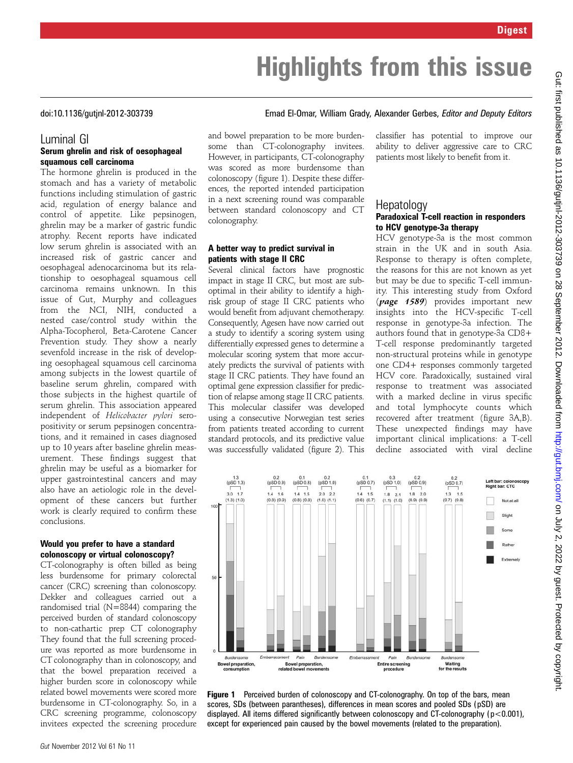# Highlights from this issue

### doi:10.1136/gutjnl-2012-303739 Emad El-Omar, William Grady, Alexander Gerbes, Editor and Deputy Editors

#### Luminal GI Serum ghrelin and risk of oesophageal squamous cell carcinoma

The hormone ghrelin is produced in the stomach and has a variety of metabolic functions including stimulation of gastric acid, regulation of energy balance and control of appetite. Like pepsinogen, ghrelin may be a marker of gastric fundic atrophy. Recent reports have indicated low serum ghrelin is associated with an increased risk of gastric cancer and oesophageal adenocarcinoma but its relationship to oesophageal squamous cell carcinoma remains unknown. In this issue of Gut, Murphy and colleagues from the NCI, NIH, conducted a nested case/control study within the Alpha-Tocopherol, Beta-Carotene Cancer Prevention study. They show a nearly sevenfold increase in the risk of developing oesophageal squamous cell carcinoma among subjects in the lowest quartile of baseline serum ghrelin, compared with those subjects in the highest quartile of serum ghrelin. This association appeared independent of Helicobacter pylori seropositivity or serum pepsinogen concentrations, and it remained in cases diagnosed up to 10 years after baseline ghrelin measurement. These findings suggest that ghrelin may be useful as a biomarker for upper gastrointestinal cancers and may also have an aetiologic role in the development of these cancers but further work is clearly required to confirm these conclusions.

#### Would you prefer to have a standard colonoscopy or virtual colonoscopy?

CT-colonography is often billed as being less burdensome for primary colorectal cancer (CRC) screening than colonoscopy. Dekker and colleagues carried out a randomised trial (N=8844) comparing the perceived burden of standard colonoscopy to non-cathartic prep CT colonography They found that the full screening procedure was reported as more burdensome in CT colonography than in colonoscopy, and that the bowel preparation received a higher burden score in colonoscopy while related bowel movements were scored more burdensome in CT-colonography. So, in a CRC screening programme, colonoscopy invitees expected the screening procedure and bowel preparation to be more burdensome than CT-colonography invitees. However, in participants, CT-colonography was scored as more burdensome than colonoscopy (figure 1). Despite these differences, the reported intended participation in a next screening round was comparable between standard colonoscopy and CT colonography.

#### A better way to predict survival in patients with stage II CRC

Several clinical factors have prognostic impact in stage II CRC, but most are suboptimal in their ability to identify a highrisk group of stage II CRC patients who would benefit from adjuvant chemotherapy. Consequently, Agesen have now carried out a study to identify a scoring system using differentially expressed genes to determine a molecular scoring system that more accurately predicts the survival of patients with stage II CRC patients. They have found an optimal gene expression classifier for prediction of relapse among stage II CRC patients. This molecular classifer was developed using a consecutive Norwegian test series from patients treated according to current standard protocols, and its predictive value was successfully validated (figure 2). This

classifier has potential to improve our ability to deliver aggressive care to CRC patients most likely to benefit from it.

## Paradoxical T-cell reaction in responders to HCV genotype-3a therapy

HCV genotype-3a is the most common strain in the UK and in south Asia. Response to therapy is often complete, the reasons for this are not known as yet but may be due to specific T-cell immunity. This interesting study from Oxford (page 1589) provides important new insights into the HCV-specific T-cell response in genotype-3a infection. The authors found that in genotype-3a CD8+ T-cell response predominantly targeted non-structural proteins while in genotype one CD4+ responses commonly targeted HCV core. Paradoxically, sustained viral response to treatment was associated with a marked decline in virus specific and total lymphocyte counts which recovered after treatment (figure 3A,B). These unexpected findings may have important clinical implications: a T-cell decline associated with viral decline



Figure 1 Perceived burden of colonoscopy and CT-colonography. On top of the bars, mean scores, SDs (between parantheses), differences in mean scores and pooled SDs (pSD) are displayed. All items differed significantly between colonoscopy and CT-colonography ( $p < 0.001$ ), except for experienced pain caused by the bowel movements (related to the preparation).